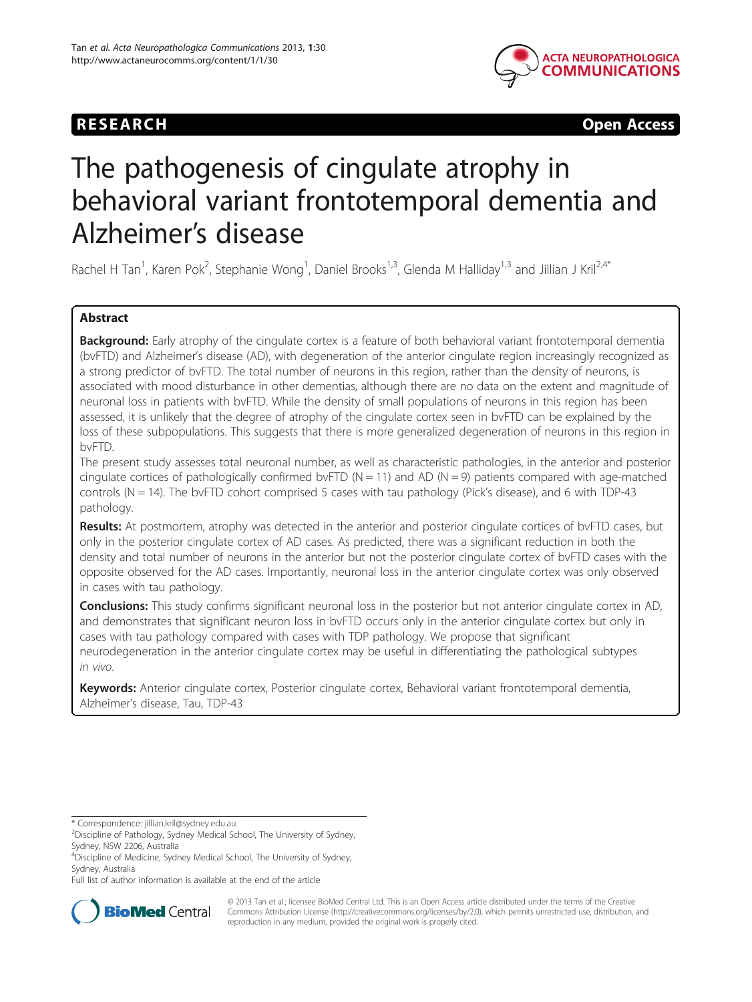



# The pathogenesis of cingulate atrophy in behavioral variant frontotemporal dementia and Alzheimer's disease

Rachel H Tan<sup>1</sup>, Karen Pok<sup>2</sup>, Stephanie Wong<sup>1</sup>, Daniel Brooks<sup>1,3</sup>, Glenda M Halliday<sup>1,3</sup> and Jillian J Kril<sup>2,4\*</sup>

# Abstract

Background: Early atrophy of the cingulate cortex is a feature of both behavioral variant frontotemporal dementia (bvFTD) and Alzheimer's disease (AD), with degeneration of the anterior cingulate region increasingly recognized as a strong predictor of bvFTD. The total number of neurons in this region, rather than the density of neurons, is associated with mood disturbance in other dementias, although there are no data on the extent and magnitude of neuronal loss in patients with bvFTD. While the density of small populations of neurons in this region has been assessed, it is unlikely that the degree of atrophy of the cingulate cortex seen in bvFTD can be explained by the loss of these subpopulations. This suggests that there is more generalized degeneration of neurons in this region in bvFTD.

The present study assesses total neuronal number, as well as characteristic pathologies, in the anterior and posterior cingulate cortices of pathologically confirmed bvFTD ( $N = 11$ ) and AD ( $N = 9$ ) patients compared with age-matched controls (N = 14). The bvFTD cohort comprised 5 cases with tau pathology (Pick's disease), and 6 with TDP-43 pathology.

Results: At postmortem, atrophy was detected in the anterior and posterior cingulate cortices of bvFTD cases, but only in the posterior cingulate cortex of AD cases. As predicted, there was a significant reduction in both the density and total number of neurons in the anterior but not the posterior cingulate cortex of bvFTD cases with the opposite observed for the AD cases. Importantly, neuronal loss in the anterior cingulate cortex was only observed in cases with tau pathology.

**Conclusions:** This study confirms significant neuronal loss in the posterior but not anterior cingulate cortex in AD, and demonstrates that significant neuron loss in bvFTD occurs only in the anterior cingulate cortex but only in cases with tau pathology compared with cases with TDP pathology. We propose that significant neurodegeneration in the anterior cingulate cortex may be useful in differentiating the pathological subtypes in vivo.

Keywords: Anterior cingulate cortex, Posterior cingulate cortex, Behavioral variant frontotemporal dementia, Alzheimer's disease, Tau, TDP-43

Full list of author information is available at the end of the article



© 2013 Tan et al.; licensee BioMed Central Ltd. This is an Open Access article distributed under the terms of the Creative Commons Attribution License [\(http://creativecommons.org/licenses/by/2.0\)](http://creativecommons.org/licenses/by/2.0), which permits unrestricted use, distribution, and reproduction in any medium, provided the original work is properly cited.

<sup>\*</sup> Correspondence: [jillian.kril@sydney.edu.au](mailto:jillian.kril@sydney.edu.au) <sup>2</sup>

<sup>&</sup>lt;sup>2</sup>Discipline of Pathology, Sydney Medical School, The University of Sydney, Sydney, NSW 2206, Australia

<sup>&</sup>lt;sup>4</sup>Discipline of Medicine, Sydney Medical School, The University of Sydney, Sydney, Australia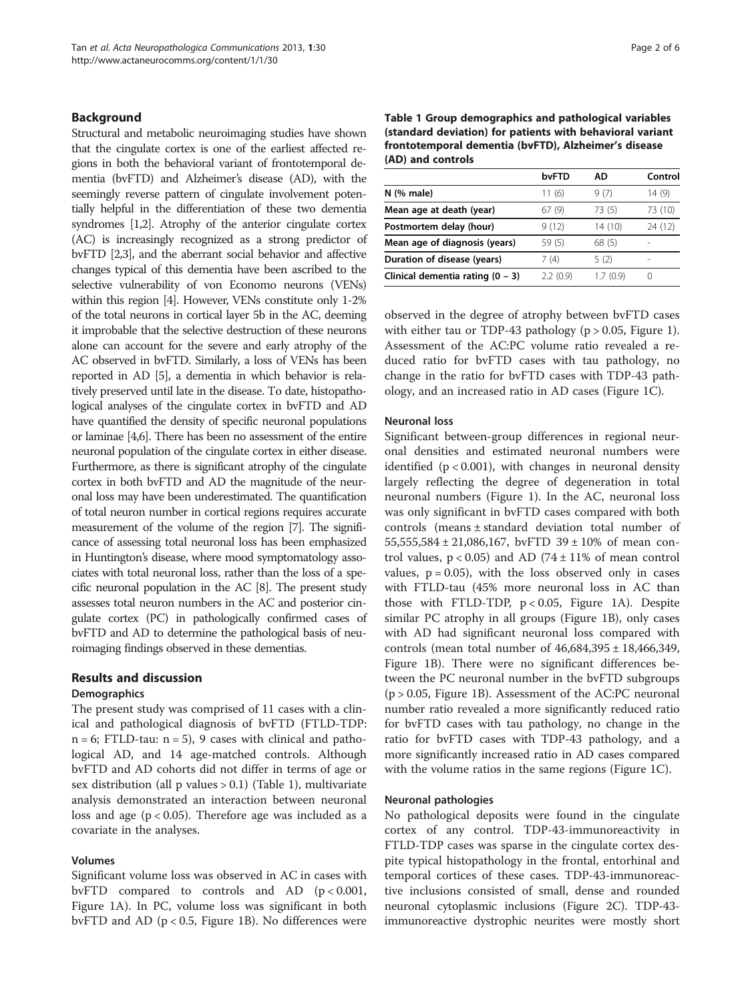## <span id="page-1-0"></span>Background

Structural and metabolic neuroimaging studies have shown that the cingulate cortex is one of the earliest affected regions in both the behavioral variant of frontotemporal dementia (bvFTD) and Alzheimer's disease (AD), with the seemingly reverse pattern of cingulate involvement potentially helpful in the differentiation of these two dementia syndromes [\[1,2](#page-5-0)]. Atrophy of the anterior cingulate cortex (AC) is increasingly recognized as a strong predictor of bvFTD [\[2,3\]](#page-5-0), and the aberrant social behavior and affective changes typical of this dementia have been ascribed to the selective vulnerability of von Economo neurons (VENs) within this region [\[4\]](#page-5-0). However, VENs constitute only 1-2% of the total neurons in cortical layer 5b in the AC, deeming it improbable that the selective destruction of these neurons alone can account for the severe and early atrophy of the AC observed in bvFTD. Similarly, a loss of VENs has been reported in AD [[5](#page-5-0)], a dementia in which behavior is relatively preserved until late in the disease. To date, histopathological analyses of the cingulate cortex in bvFTD and AD have quantified the density of specific neuronal populations or laminae [[4,6\]](#page-5-0). There has been no assessment of the entire neuronal population of the cingulate cortex in either disease. Furthermore, as there is significant atrophy of the cingulate cortex in both bvFTD and AD the magnitude of the neuronal loss may have been underestimated. The quantification of total neuron number in cortical regions requires accurate measurement of the volume of the region [[7](#page-5-0)]. The significance of assessing total neuronal loss has been emphasized in Huntington's disease, where mood symptomatology associates with total neuronal loss, rather than the loss of a specific neuronal population in the AC [\[8](#page-5-0)]. The present study assesses total neuron numbers in the AC and posterior cingulate cortex (PC) in pathologically confirmed cases of bvFTD and AD to determine the pathological basis of neuroimaging findings observed in these dementias.

# Results and discussion

### **Demographics**

The present study was comprised of 11 cases with a clinical and pathological diagnosis of bvFTD (FTLD-TDP:  $n = 6$ ; FTLD-tau:  $n = 5$ ), 9 cases with clinical and pathological AD, and 14 age-matched controls. Although bvFTD and AD cohorts did not differ in terms of age or sex distribution (all  $p$  values  $> 0.1$ ) (Table 1), multivariate analysis demonstrated an interaction between neuronal loss and age  $(p < 0.05)$ . Therefore age was included as a covariate in the analyses.

## Volumes

Significant volume loss was observed in AC in cases with bvFTD compared to controls and AD  $(p < 0.001,$ Figure [1A](#page-2-0)). In PC, volume loss was significant in both bvFTD and AD ( $p < 0.5$ , Figure [1](#page-2-0)B). No differences were Table 1 Group demographics and pathological variables (standard deviation) for patients with behavioral variant frontotemporal dementia (bvFTD), Alzheimer's disease (AD) and controls

|                                    | bvFTD    | AD       | Control                  |
|------------------------------------|----------|----------|--------------------------|
| $N$ (% male)                       | 11(6)    | 9(7)     | 14 (9)                   |
| Mean age at death (year)           | 67(9)    | 73(5)    | 73 (10)                  |
| Postmortem delay (hour)            | 9(12)    | 14(10)   | 24 (12)                  |
| Mean age of diagnosis (years)      | 59 (5)   | 68(5)    | -                        |
| Duration of disease (years)        | 7 (4)    | 5(2)     | $\overline{\phantom{a}}$ |
| Clinical dementia rating $(0 - 3)$ | 2.2(0.9) | 1.7(0.9) | 0                        |

observed in the degree of atrophy between bvFTD cases with either tau or TDP-43 pathology ( $p > 0.05$ , Figure [1](#page-2-0)). Assessment of the AC:PC volume ratio revealed a reduced ratio for bvFTD cases with tau pathology, no change in the ratio for bvFTD cases with TDP-43 pathology, and an increased ratio in AD cases (Figure [1](#page-2-0)C).

### Neuronal loss

Significant between-group differences in regional neuronal densities and estimated neuronal numbers were identified  $(p < 0.001)$ , with changes in neuronal density largely reflecting the degree of degeneration in total neuronal numbers (Figure [1](#page-2-0)). In the AC, neuronal loss was only significant in bvFTD cases compared with both controls (means ± standard deviation total number of 55,555,584 ± 21,086,167, bvFTD 39 ± 10% of mean control values,  $p < 0.05$ ) and AD (74  $\pm$  11% of mean control values,  $p = 0.05$ ), with the loss observed only in cases with FTLD-tau (45% more neuronal loss in AC than those with FTLD-TDP,  $p < 0.05$ , Figure [1](#page-2-0)A). Despite similar PC atrophy in all groups (Figure [1B](#page-2-0)), only cases with AD had significant neuronal loss compared with controls (mean total number of 46,684,395 ± 18,466,349, Figure [1B](#page-2-0)). There were no significant differences between the PC neuronal number in the bvFTD subgroups (p > 0.05, Figure [1](#page-2-0)B). Assessment of the AC:PC neuronal number ratio revealed a more significantly reduced ratio for bvFTD cases with tau pathology, no change in the ratio for bvFTD cases with TDP-43 pathology, and a more significantly increased ratio in AD cases compared with the volume ratios in the same regions (Figure [1C](#page-2-0)).

## Neuronal pathologies

No pathological deposits were found in the cingulate cortex of any control. TDP-43-immunoreactivity in FTLD-TDP cases was sparse in the cingulate cortex despite typical histopathology in the frontal, entorhinal and temporal cortices of these cases. TDP-43-immunoreactive inclusions consisted of small, dense and rounded neuronal cytoplasmic inclusions (Figure [2](#page-3-0)C). TDP-43 immunoreactive dystrophic neurites were mostly short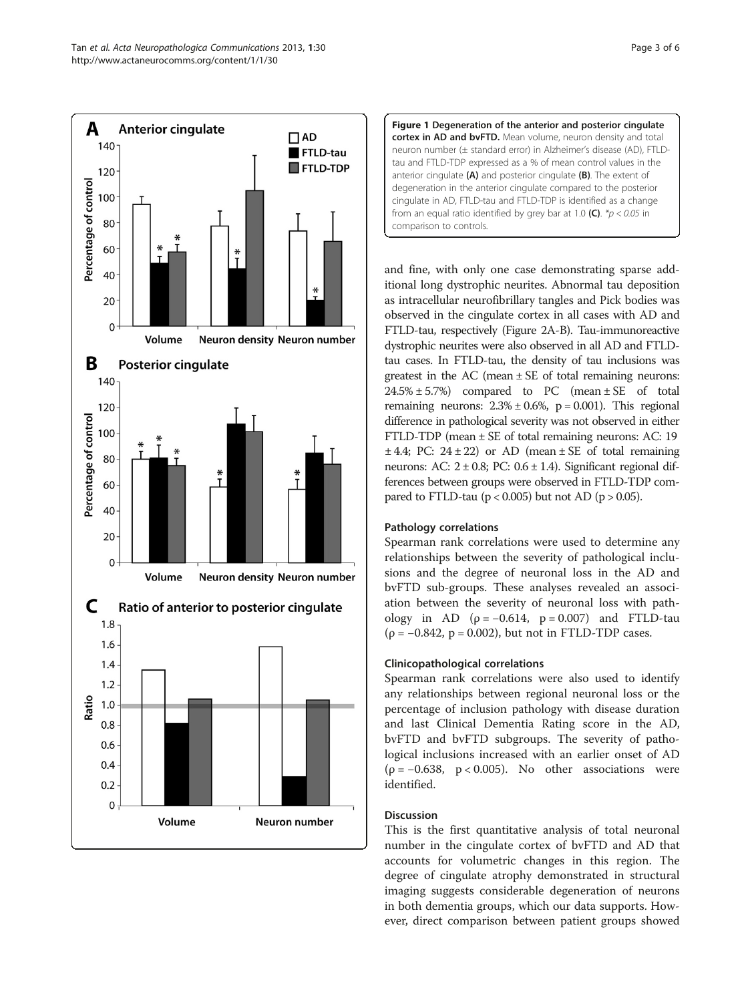

<span id="page-2-0"></span>

Figure 1 Degeneration of the anterior and posterior cingulate cortex in AD and bvFTD. Mean volume, neuron density and total neuron number (± standard error) in Alzheimer's disease (AD), FTLDtau and FTLD-TDP expressed as a % of mean control values in the anterior cingulate (A) and posterior cingulate (B). The extent of degeneration in the anterior cingulate compared to the posterior cingulate in AD, FTLD-tau and FTLD-TDP is identified as a change from an equal ratio identified by grey bar at 1.0 (C).  $*_{p}$  < 0.05 in comparison to controls.

and fine, with only one case demonstrating sparse additional long dystrophic neurites. Abnormal tau deposition as intracellular neurofibrillary tangles and Pick bodies was observed in the cingulate cortex in all cases with AD and FTLD-tau, respectively (Figure [2](#page-3-0)A-B). Tau-immunoreactive dystrophic neurites were also observed in all AD and FTLDtau cases. In FTLD-tau, the density of tau inclusions was greatest in the AC (mean ± SE of total remaining neurons:  $24.5\% \pm 5.7\%$  compared to PC (mean  $\pm$  SE of total remaining neurons:  $2.3\% \pm 0.6\%$ , p = 0.001). This regional difference in pathological severity was not observed in either FTLD-TDP (mean ± SE of total remaining neurons: AC: 19  $\pm$  4.4; PC: 24  $\pm$  22) or AD (mean  $\pm$  SE of total remaining neurons: AC:  $2 \pm 0.8$ ; PC:  $0.6 \pm 1.4$ ). Significant regional differences between groups were observed in FTLD-TDP compared to FTLD-tau  $(p < 0.005)$  but not AD  $(p > 0.05)$ .

# Pathology correlations

Spearman rank correlations were used to determine any relationships between the severity of pathological inclusions and the degree of neuronal loss in the AD and bvFTD sub-groups. These analyses revealed an association between the severity of neuronal loss with pathology in AD ( $\rho = -0.614$ ,  $p = 0.007$ ) and FTLD-tau  $(p = -0.842, p = 0.002)$ , but not in FTLD-TDP cases.

# Clinicopathological correlations

Spearman rank correlations were also used to identify any relationships between regional neuronal loss or the percentage of inclusion pathology with disease duration and last Clinical Dementia Rating score in the AD, bvFTD and bvFTD subgroups. The severity of pathological inclusions increased with an earlier onset of AD  $(p = -0.638, p < 0.005)$ . No other associations were identified.

# Discussion

This is the first quantitative analysis of total neuronal number in the cingulate cortex of bvFTD and AD that accounts for volumetric changes in this region. The degree of cingulate atrophy demonstrated in structural imaging suggests considerable degeneration of neurons in both dementia groups, which our data supports. However, direct comparison between patient groups showed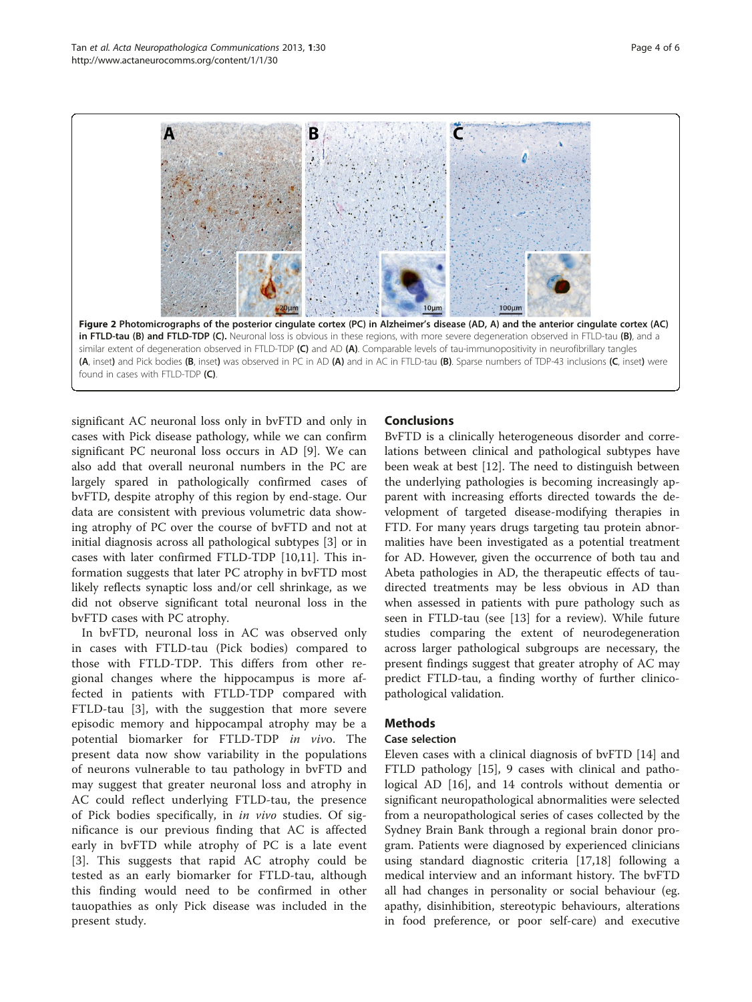<span id="page-3-0"></span>

significant AC neuronal loss only in bvFTD and only in cases with Pick disease pathology, while we can confirm significant PC neuronal loss occurs in AD [\[9](#page-5-0)]. We can also add that overall neuronal numbers in the PC are largely spared in pathologically confirmed cases of bvFTD, despite atrophy of this region by end-stage. Our data are consistent with previous volumetric data showing atrophy of PC over the course of bvFTD and not at initial diagnosis across all pathological subtypes [\[3](#page-5-0)] or in cases with later confirmed FTLD-TDP [[10,11](#page-5-0)]. This information suggests that later PC atrophy in bvFTD most likely reflects synaptic loss and/or cell shrinkage, as we did not observe significant total neuronal loss in the bvFTD cases with PC atrophy.

In bvFTD, neuronal loss in AC was observed only in cases with FTLD-tau (Pick bodies) compared to those with FTLD-TDP. This differs from other regional changes where the hippocampus is more affected in patients with FTLD-TDP compared with FTLD-tau [\[3](#page-5-0)], with the suggestion that more severe episodic memory and hippocampal atrophy may be a potential biomarker for FTLD-TDP in vivo. The present data now show variability in the populations of neurons vulnerable to tau pathology in bvFTD and may suggest that greater neuronal loss and atrophy in AC could reflect underlying FTLD-tau, the presence of Pick bodies specifically, in in vivo studies. Of significance is our previous finding that AC is affected early in bvFTD while atrophy of PC is a late event [[3\]](#page-5-0). This suggests that rapid AC atrophy could be tested as an early biomarker for FTLD-tau, although this finding would need to be confirmed in other tauopathies as only Pick disease was included in the present study.

# **Conclusions**

BvFTD is a clinically heterogeneous disorder and correlations between clinical and pathological subtypes have been weak at best [[12\]](#page-5-0). The need to distinguish between the underlying pathologies is becoming increasingly apparent with increasing efforts directed towards the development of targeted disease-modifying therapies in FTD. For many years drugs targeting tau protein abnormalities have been investigated as a potential treatment for AD. However, given the occurrence of both tau and Abeta pathologies in AD, the therapeutic effects of taudirected treatments may be less obvious in AD than when assessed in patients with pure pathology such as seen in FTLD-tau (see [\[13](#page-5-0)] for a review). While future studies comparing the extent of neurodegeneration across larger pathological subgroups are necessary, the present findings suggest that greater atrophy of AC may predict FTLD-tau, a finding worthy of further clinicopathological validation.

# Methods

## Case selection

Eleven cases with a clinical diagnosis of bvFTD [\[14](#page-5-0)] and FTLD pathology [[15](#page-5-0)], 9 cases with clinical and pathological AD [\[16\]](#page-5-0), and 14 controls without dementia or significant neuropathological abnormalities were selected from a neuropathological series of cases collected by the Sydney Brain Bank through a regional brain donor program. Patients were diagnosed by experienced clinicians using standard diagnostic criteria [\[17,18](#page-5-0)] following a medical interview and an informant history. The bvFTD all had changes in personality or social behaviour (eg. apathy, disinhibition, stereotypic behaviours, alterations in food preference, or poor self-care) and executive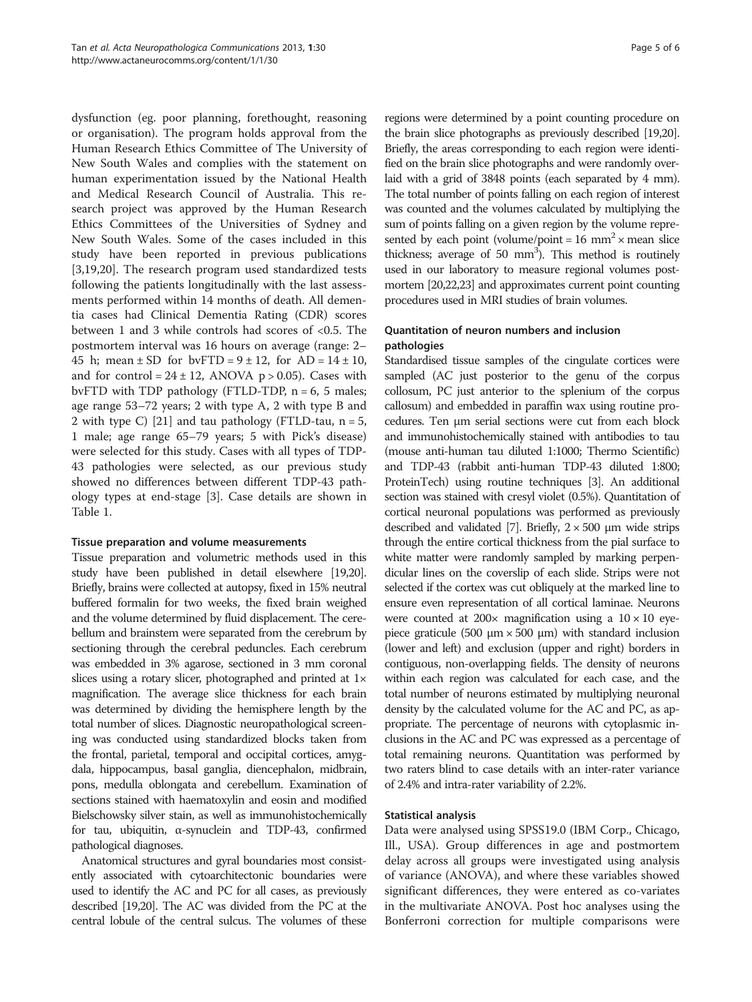dysfunction (eg. poor planning, forethought, reasoning or organisation). The program holds approval from the Human Research Ethics Committee of The University of New South Wales and complies with the statement on human experimentation issued by the National Health and Medical Research Council of Australia. This research project was approved by the Human Research Ethics Committees of the Universities of Sydney and New South Wales. Some of the cases included in this study have been reported in previous publications [[3,19,20\]](#page-5-0). The research program used standardized tests following the patients longitudinally with the last assessments performed within 14 months of death. All dementia cases had Clinical Dementia Rating (CDR) scores between 1 and 3 while controls had scores of <0.5. The postmortem interval was 16 hours on average (range: 2– 45 h; mean  $\pm$  SD for bvFTD = 9  $\pm$  12, for AD = 14  $\pm$  10, and for control =  $24 \pm 12$ , ANOVA p > 0.05). Cases with bvFTD with TDP pathology (FTLD-TDP,  $n = 6$ , 5 males; age range 53–72 years; 2 with type A, 2 with type B and 2 with type C) [[21\]](#page-5-0) and tau pathology (FTLD-tau,  $n = 5$ , 1 male; age range 65–79 years; 5 with Pick's disease) were selected for this study. Cases with all types of TDP-43 pathologies were selected, as our previous study showed no differences between different TDP-43 pathology types at end-stage [[3](#page-5-0)]. Case details are shown in Table [1.](#page-1-0)

## Tissue preparation and volume measurements

Tissue preparation and volumetric methods used in this study have been published in detail elsewhere [\[19,20\]](#page-5-0). Briefly, brains were collected at autopsy, fixed in 15% neutral buffered formalin for two weeks, the fixed brain weighed and the volume determined by fluid displacement. The cerebellum and brainstem were separated from the cerebrum by sectioning through the cerebral peduncles. Each cerebrum was embedded in 3% agarose, sectioned in 3 mm coronal slices using a rotary slicer, photographed and printed at 1× magnification. The average slice thickness for each brain was determined by dividing the hemisphere length by the total number of slices. Diagnostic neuropathological screening was conducted using standardized blocks taken from the frontal, parietal, temporal and occipital cortices, amygdala, hippocampus, basal ganglia, diencephalon, midbrain, pons, medulla oblongata and cerebellum. Examination of sections stained with haematoxylin and eosin and modified Bielschowsky silver stain, as well as immunohistochemically for tau, ubiquitin, α-synuclein and TDP-43, confirmed pathological diagnoses.

Anatomical structures and gyral boundaries most consistently associated with cytoarchitectonic boundaries were used to identify the AC and PC for all cases, as previously described [[19,20](#page-5-0)]. The AC was divided from the PC at the central lobule of the central sulcus. The volumes of these regions were determined by a point counting procedure on the brain slice photographs as previously described [\[19,20](#page-5-0)]. Briefly, the areas corresponding to each region were identified on the brain slice photographs and were randomly overlaid with a grid of 3848 points (each separated by 4 mm). The total number of points falling on each region of interest was counted and the volumes calculated by multiplying the sum of points falling on a given region by the volume represented by each point (volume/point = 16 mm<sup>2</sup>  $\times$  mean slice thickness; average of 50 mm<sup>3</sup>). This method is routinely used in our laboratory to measure regional volumes postmortem [[20,22,23](#page-5-0)] and approximates current point counting procedures used in MRI studies of brain volumes.

# Quantitation of neuron numbers and inclusion pathologies

Standardised tissue samples of the cingulate cortices were sampled (AC just posterior to the genu of the corpus collosum, PC just anterior to the splenium of the corpus callosum) and embedded in paraffin wax using routine procedures. Ten μm serial sections were cut from each block and immunohistochemically stained with antibodies to tau (mouse anti-human tau diluted 1:1000; Thermo Scientific) and TDP-43 (rabbit anti-human TDP-43 diluted 1:800; ProteinTech) using routine techniques [[3](#page-5-0)]. An additional section was stained with cresyl violet (0.5%). Quantitation of cortical neuronal populations was performed as previously described and validated [\[7\]](#page-5-0). Briefly,  $2 \times 500$  µm wide strips through the entire cortical thickness from the pial surface to white matter were randomly sampled by marking perpendicular lines on the coverslip of each slide. Strips were not selected if the cortex was cut obliquely at the marked line to ensure even representation of all cortical laminae. Neurons were counted at 200 $\times$  magnification using a  $10 \times 10$  eyepiece graticule (500 μm × 500 μm) with standard inclusion (lower and left) and exclusion (upper and right) borders in contiguous, non-overlapping fields. The density of neurons within each region was calculated for each case, and the total number of neurons estimated by multiplying neuronal density by the calculated volume for the AC and PC, as appropriate. The percentage of neurons with cytoplasmic inclusions in the AC and PC was expressed as a percentage of total remaining neurons. Quantitation was performed by two raters blind to case details with an inter-rater variance of 2.4% and intra-rater variability of 2.2%.

## Statistical analysis

Data were analysed using SPSS19.0 (IBM Corp., Chicago, Ill., USA). Group differences in age and postmortem delay across all groups were investigated using analysis of variance (ANOVA), and where these variables showed significant differences, they were entered as co-variates in the multivariate ANOVA. Post hoc analyses using the Bonferroni correction for multiple comparisons were